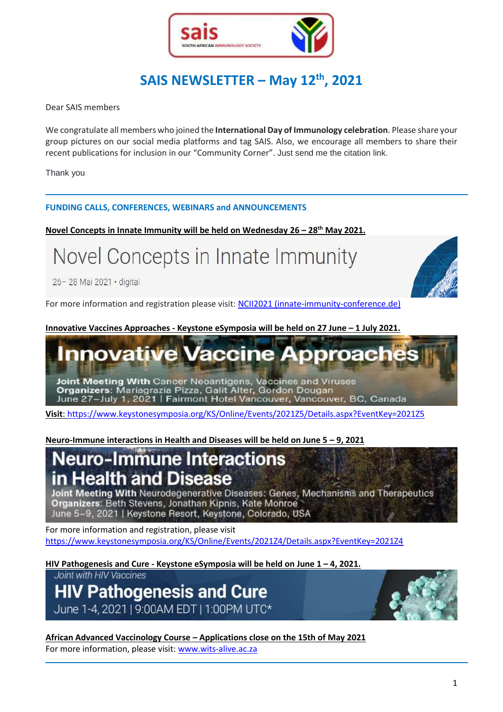

# **SAIS NEWSLETTER – May 12th , 2021**

Dear SAIS members

We congratulate all members who joined the **International Day of Immunology celebration**. Please share your group pictures on our social media platforms and tag SAIS. Also, we encourage all members to share their recent publications for inclusion in our "Community Corner". Just send me the citation link.

Thank you

#### **FUNDING CALLS, CONFERENCES, WEBINARS and ANNOUNCEMENTS**

**Novel Concepts in Innate Immunity will be held on Wednesday 26 – 28th May 2021.**

Novel Concepts in Innate Immunity

26-28 Mai 2021 · digital

For more information and registration please visit: [NCII2021 \(innate-immunity-conference.de\)](https://www.innate-immunity-conference.de/)

**Innovative Vaccines Approaches - Keystone eSymposia will be held on 27 June – 1 July 2021.**

## **Innovative Vaccine** proac

Joint Meeting With Cancer Neoantigens, Vaccines and Viruses Organizers: Mariagrazia Pizza, Galit Alter, Gordon Dougan June 27-July 1, 2021 | Fairmont Hotel Vancouver, Vancouver, BC, Canada

**Visit**[: https://www.keystonesymposia.org/KS/Online/Events/2021Z5/Details.aspx?EventKey=2021Z5](https://www.keystonesymposia.org/KS/Online/Events/2021Z5/Details.aspx?EventKey=2021Z5)

**Neuro-Immune interactions in Health and Diseases will be held on June 5 – 9, 2021**

# **Neuro-Immune Interactions** in Health and Disease

Joint Meeting With Neurodegenerative Diseases: Genes, Mechanisms and Therapeutics Organizers: Beth Stevens, Jonathan Kipnis, Kate Monroe June 5-9, 2021 | Keystone Resort, Keystone, Colorado, USA

For more information and registration, please visit <https://www.keystonesymposia.org/KS/Online/Events/2021Z4/Details.aspx?EventKey=2021Z4>

**HIV Pathogenesis and Cure - Keystone eSymposia will be held on June 1 – 4, 2021.**

Joint with HIV Vaccines

**HIV Pathogenesis and Cure** June 1-4, 2021 | 9:00AM EDT | 1:00PM UTC\*



**African Advanced Vaccinology Course – Applications close on the 15th of May 2021** For more information, please visit[: www.wits-alive.ac.za](http://www.wits-alive.ac.za/)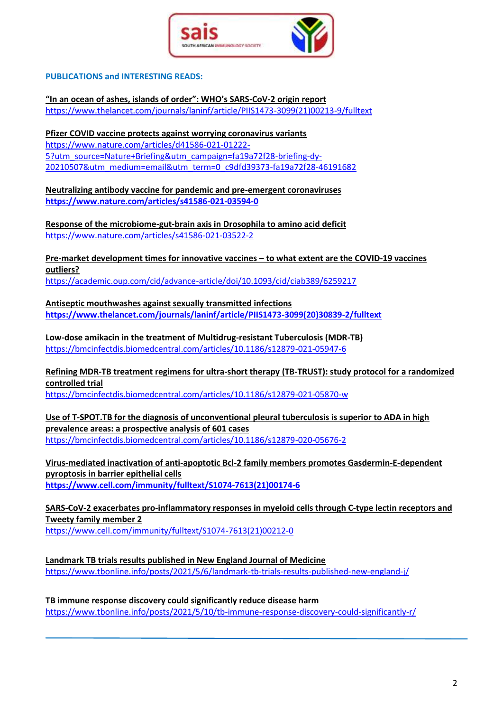

### **PUBLICATIONS and INTERESTING READS:**

**"In an ocean of ashes, islands of order": WHO's SARS-CoV-2 origin report** [https://www.thelancet.com/journals/laninf/article/PIIS1473-3099\(21\)00213-9/fulltext](https://www.thelancet.com/journals/laninf/article/PIIS1473-3099(21)00213-9/fulltext)

**Pfizer COVID vaccine protects against worrying coronavirus variants** [https://www.nature.com/articles/d41586-021-01222-](https://www.nature.com/articles/d41586-021-01222-5?utm_source=Nature+Briefing&utm_campaign=fa19a72f28-briefing-dy-20210507&utm_medium=email&utm_term=0_c9dfd39373-fa19a72f28-46191682) [5?utm\\_source=Nature+Briefing&utm\\_campaign=fa19a72f28-briefing-dy-](https://www.nature.com/articles/d41586-021-01222-5?utm_source=Nature+Briefing&utm_campaign=fa19a72f28-briefing-dy-20210507&utm_medium=email&utm_term=0_c9dfd39373-fa19a72f28-46191682)[20210507&utm\\_medium=email&utm\\_term=0\\_c9dfd39373-fa19a72f28-46191682](https://www.nature.com/articles/d41586-021-01222-5?utm_source=Nature+Briefing&utm_campaign=fa19a72f28-briefing-dy-20210507&utm_medium=email&utm_term=0_c9dfd39373-fa19a72f28-46191682)

**Neutralizing antibody vaccine for pandemic and pre-emergent coronaviruses <https://www.nature.com/articles/s41586-021-03594-0>**

**Response of the microbiome-gut-brain axis in Drosophila to amino acid deficit** <https://www.nature.com/articles/s41586-021-03522-2>

**Pre-market development times for innovative vaccines – to what extent are the COVID-19 vaccines outliers?**

<https://academic.oup.com/cid/advance-article/doi/10.1093/cid/ciab389/6259217>

**Antiseptic mouthwashes against sexually transmitted infections [https://www.thelancet.com/journals/laninf/article/PIIS1473-3099\(20\)30839-2/fulltext](https://www.thelancet.com/journals/laninf/article/PIIS1473-3099(20)30839-2/fulltext)**

**Low-dose amikacin in the treatment of Multidrug-resistant Tuberculosis (MDR-TB)** <https://bmcinfectdis.biomedcentral.com/articles/10.1186/s12879-021-05947-6>

**Refining MDR-TB treatment regimens for ultra-short therapy (TB-TRUST): study protocol for a randomized controlled trial**

<https://bmcinfectdis.biomedcentral.com/articles/10.1186/s12879-021-05870-w>

**Use of T-SPOT.TB for the diagnosis of unconventional pleural tuberculosis is superior to ADA in high prevalence areas: a prospective analysis of 601 cases** <https://bmcinfectdis.biomedcentral.com/articles/10.1186/s12879-020-05676-2>

**Virus-mediated inactivation of anti-apoptotic Bcl-2 family members promotes Gasdermin-E-dependent pyroptosis in barrier epithelial cells [https://www.cell.com/immunity/fulltext/S1074-7613\(21\)00174-6](https://www.cell.com/immunity/fulltext/S1074-7613(21)00174-6)**

**SARS-CoV-2 exacerbates pro-inflammatory responses in myeloid cells through C-type lectin receptors and Tweety family member 2** [https://www.cell.com/immunity/fulltext/S1074-7613\(21\)00212-0](https://www.cell.com/immunity/fulltext/S1074-7613(21)00212-0)

**[Landmark TB trials results published in New England Journal of Medicine](https://www.tbonline.info/posts/2021/5/6/landmark-tb-trials-results-published-new-england-j/)** <https://www.tbonline.info/posts/2021/5/6/landmark-tb-trials-results-published-new-england-j/>

**[TB immune response discovery could significantly reduce disease harm](https://www.tbonline.info/posts/2021/5/10/tb-immune-response-discovery-could-significantly-r/)** <https://www.tbonline.info/posts/2021/5/10/tb-immune-response-discovery-could-significantly-r/>